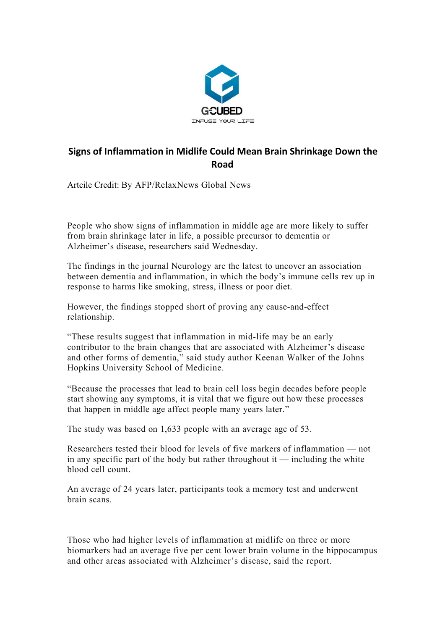

## **Signs of Inflammation in Midlife Could Mean Brain Shrinkage Down the Road**

Artcile Credit: By AFP/RelaxNews Global News

People who show signs of inflammation in middle age are more likely to suffer from brain shrinkage later in life, a possible precursor to dementia or Alzheimer's disease, researchers said Wednesday.

The findings in the journal Neurology are the latest to uncover an association between dementia and inflammation, in which the body's immune cells rev up in response to harms like smoking, stress, illness or poor diet.

However, the findings stopped short of proving any cause-and-effect relationship.

"These results suggest that inflammation in mid-life may be an early contributor to the brain changes that are associated with Alzheimer's disease and other forms of dementia," said study author Keenan Walker of the Johns Hopkins University School of Medicine.

"Because the processes that lead to brain cell loss begin decades before people start showing any symptoms, it is vital that we figure out how these processes that happen in middle age affect people many years later."

The study was based on 1,633 people with an average age of 53.<br>Researchers tested their blood for levels of five markers of inflammation — not in any specific part of the body but rather throughout it — including the white blood cell count.<br>An average of 24 years later, participants took a memory test and underwent

brain scans.

Those who had higher levels of inflammation at midlife on three or more biomarkers had an average five per cent lower brain volume in the hippocampus and other areas associated with Alzheimer's disease, said the report.